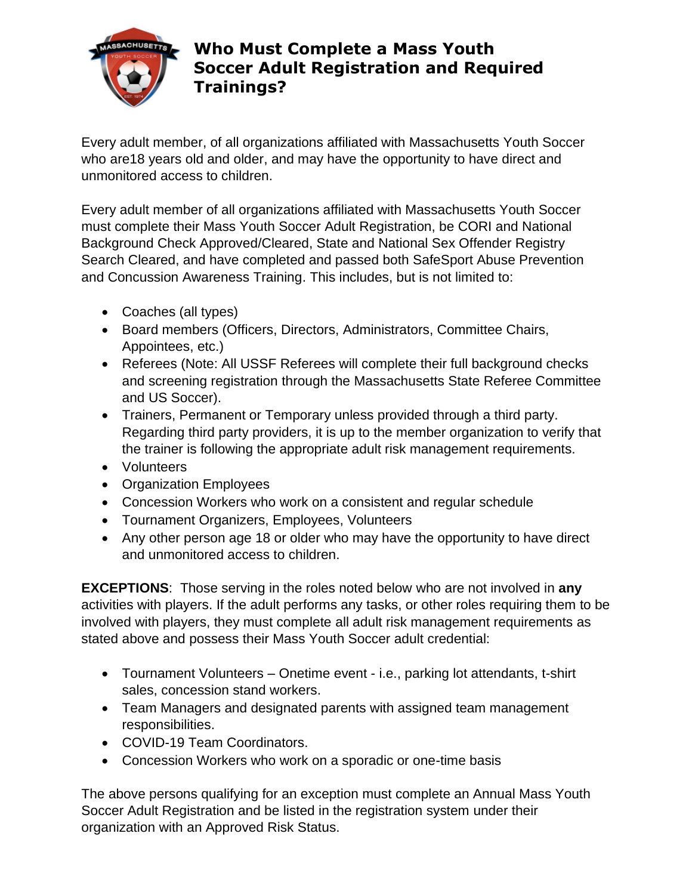

## **Who Must Complete a Mass Youth Soccer Adult Registration and Required Trainings?**

Every adult member, of all organizations affiliated with Massachusetts Youth Soccer who are18 years old and older, and may have the opportunity to have direct and unmonitored access to children.

Every adult member of all organizations affiliated with Massachusetts Youth Soccer must complete their Mass Youth Soccer Adult Registration, be CORI and National Background Check Approved/Cleared, State and National Sex Offender Registry Search Cleared, and have completed and passed both SafeSport Abuse Prevention and Concussion Awareness Training. This includes, but is not limited to:

- Coaches (all types)
- Board members (Officers, Directors, Administrators, Committee Chairs, Appointees, etc.)
- Referees (Note: All USSF Referees will complete their full background checks and screening registration through the Massachusetts State Referee Committee and US Soccer).
- Trainers, Permanent or Temporary unless provided through a third party. Regarding third party providers, it is up to the member organization to verify that the trainer is following the appropriate adult risk management requirements.
- Volunteers
- Organization Employees
- Concession Workers who work on a consistent and regular schedule
- Tournament Organizers, Employees, Volunteers
- Any other person age 18 or older who may have the opportunity to have direct and unmonitored access to children.

**EXCEPTIONS**: Those serving in the roles noted below who are not involved in **any** activities with players. If the adult performs any tasks, or other roles requiring them to be involved with players, they must complete all adult risk management requirements as stated above and possess their Mass Youth Soccer adult credential:

- Tournament Volunteers Onetime event i.e., parking lot attendants, t-shirt sales, concession stand workers.
- Team Managers and designated parents with assigned team management responsibilities.
- COVID-19 Team Coordinators.
- Concession Workers who work on a sporadic or one-time basis

The above persons qualifying for an exception must complete an Annual Mass Youth Soccer Adult Registration and be listed in the registration system under their organization with an Approved Risk Status.